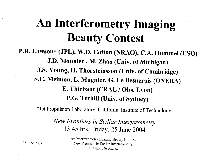# **An Interferometry Imaging Beauty Contest**

P.R. Lawson\* (JPL), W.D. Cotton (NRAO), C.A. Hummel (ESO) J.D. Monnier, M. Zhao (Univ. of Michigan) J.S. Young, H. Thorsteinsson (Univ. of Cambridge) S.C. Meimon, L. Mugnier, G. Le Besnerais (ONERA) E. Thiebaut (CRAL / Obs. Lyon) P.G. Tuthill (Univ. of Sydney)

\*Jet Propulsion Laboratory, California Institute of Technology

New Frontiers in Stellar Interferometry 13:45 hrs, Friday, 25 June 2004

> An Interferometry Imaging Beauty Contest, New Frontiers in Stellar Interferometry, Glasgow, Scotland.

1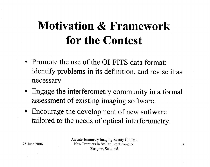# <span id="page-1-0"></span>**Motivation** & **Framework for the Contest**

- Promote the use of the OI-FITS data format; identify problems in its definition, and revise it as necessary
- Engage the interferometry community in a formal assessment of existing imaging software.
- Encourage the development of new software tailored to the needs of optical interferometry.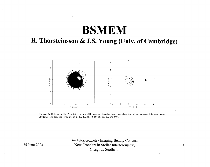### **BSMEM**

#### **H. Thorsteinsson** & **J.S. Young (Univ. of Cambridge)**



**Figure 3.** Entries by H. Thorsteinsson and J.S. Young. Results from reconstruction of the contest data sets using [BSMEM. The contour levels are at](#page-1-0) **2,** [10,](#page-9-0) 20, **30,** 40, 50, 60, 70, 80, and 90%.

> An Interferometry Imaging Beauty Contest, New Frontiers in Stellar Interferometry, Glasgow, Scotland.

25 June 2004

3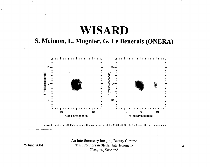## **WISARD**

#### S. Meimon, L. Mugnier, G. Le Benerais (ONERA)



Figure 4. Entries by S.C. Meimon et al. Contour levels are at 10, 20, 30, 40, 50, 60, 70, 80, and 90% of the maximum.

An Interferometry Imaging Beauty Contest, New Frontiers in Stellar Interferometry, Glasgow, Scotland.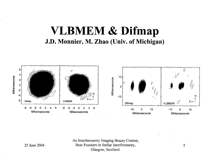### **VLBMEM** & **Difmap J.D. Monnier, M. Zhao (Univ. of Michigan)**



An Interferometry Imaging Beauty Contest, New Frontiers in Stellar Interferometry, Glasgow, Scotland.

25 June 2004

*5* 

*J-*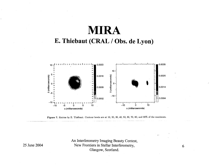### **MIRA** E. Thiebaut (CRAL / Obs. de Lyon)



Figure 7. Entries by E. Thiébaut. Contour levels are at 10, 20, 30, 40, 50, 60, 70, 80, and 90% of the maximum.

An Interferometry Imaging Beauty Contest, New Frontiers in Stellar Interferometry, Glasgow, Scotland.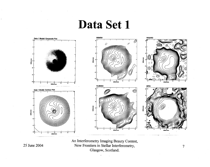Data Set 1



An Interferometry Imaging Beauty Contest, New Frontiers in Stellar Interferometry, Glasgow, Scotland.

25 June 2004

 $\overline{7}$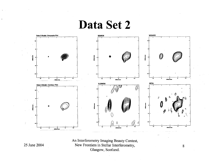## Data Set 2



An Interferometry Imaging Beauty Contest, New Frontiers in Stellar Interferometry, Glasgow, Scotland.

25 June 2004

8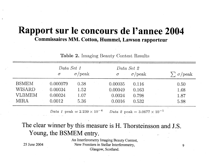### Rapport sur le concours de l'annee 2004 Commissaires MM. Cotton, Hummel, Lawson rapporteur

Table 2. Imaging Beauty Contest Results Data Set 1 Data Set 2  $\sum \sigma$ /peak  $\sigma$ /peak  $\sigma$ /peak  $\sigma$  $\sigma$ **BSMEM**  $0.000079$ 0.38 0.00035  $0.116$  $0.50$ **WISARD** 0.00034 1.52  $0.00049$ 0.163 1.68 **VLBMEM** 0.00024 1.07 0.0024 0.798 1.87 **MIRA** 0.0012 5.36 0.0016 0.532 5.98

> Data 1 peak  $= 2.239 \times 10^{-4}$ *Data 2* peak =  $3.0677 \times 10^{-1}$

#### The clear winner by this measure is H. Thorsteinsson and J.S. Young, the BSMEM entry.

25 June 2004

An Interferometry Imaging Beauty Contest, New Frontiers in Stellar Interferometry, Glasgow, Scotland.

9